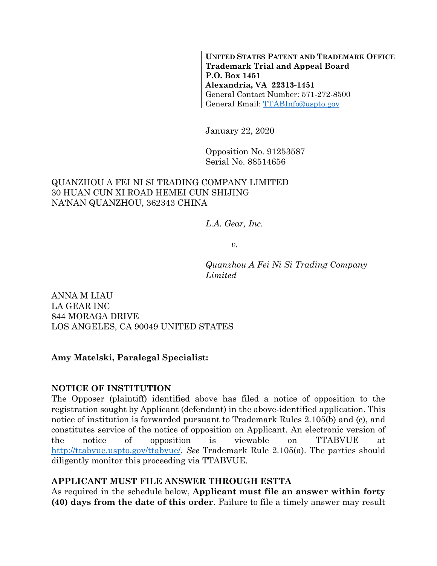**UNITED STATES PATENT AND TRADEMARK OFFICE Trademark Trial and Appeal Board P.O. Box 1451 Alexandria, VA 22313-1451**  General Contact Number: 571-272-8500 General Email: TTABInfo@uspto.gov

January 22, 2020

Opposition No. 91253587 Serial No. 88514656

### QUANZHOU A FEI NI SI TRADING COMPANY LIMITED 30 HUAN CUN XI ROAD HEMEI CUN SHIJING NA'NAN QUANZHOU, 362343 CHINA

*L.A. Gear, Inc.* 

*v.* 

*Quanzhou A Fei Ni Si Trading Company Limited* 

ANNA M LIAU LA GEAR INC 844 MORAGA DRIVE LOS ANGELES, CA 90049 UNITED STATES

#### **Amy Matelski, Paralegal Specialist:**

#### **NOTICE OF INSTITUTION**

The Opposer (plaintiff) identified above has filed a notice of opposition to the registration sought by Applicant (defendant) in the above-identified application. This notice of institution is forwarded pursuant to Trademark Rules 2.105(b) and (c), and constitutes service of the notice of opposition on Applicant. An electronic version of the notice of opposition is viewable on TTABVUE at http://ttabvue.uspto.gov/ttabvue/. *See* Trademark Rule 2.105(a). The parties should diligently monitor this proceeding via TTABVUE.

#### **APPLICANT MUST FILE ANSWER THROUGH ESTTA**

As required in the schedule below, **Applicant must file an answer within forty (40) days from the date of this order**. Failure to file a timely answer may result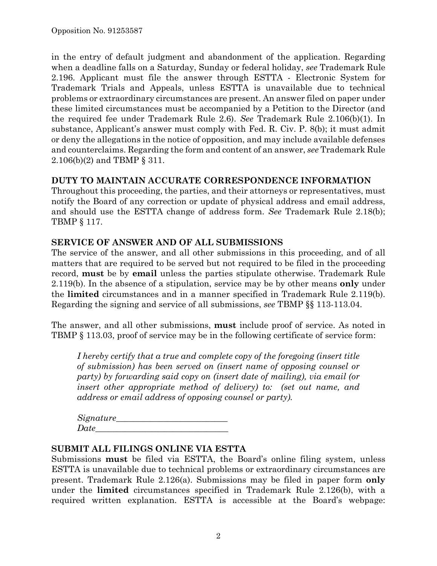in the entry of default judgment and abandonment of the application. Regarding when a deadline falls on a Saturday, Sunday or federal holiday, *see* Trademark Rule 2.196. Applicant must file the answer through ESTTA - Electronic System for Trademark Trials and Appeals, unless ESTTA is unavailable due to technical problems or extraordinary circumstances are present. An answer filed on paper under these limited circumstances must be accompanied by a Petition to the Director (and the required fee under Trademark Rule 2.6). *See* Trademark Rule 2.106(b)(1). In substance, Applicant's answer must comply with Fed. R. Civ. P. 8(b); it must admit or deny the allegations in the notice of opposition, and may include available defenses and counterclaims. Regarding the form and content of an answer, *see* Trademark Rule 2.106(b)(2) and TBMP § 311.

### **DUTY TO MAINTAIN ACCURATE CORRESPONDENCE INFORMATION**

Throughout this proceeding, the parties, and their attorneys or representatives, must notify the Board of any correction or update of physical address and email address, and should use the ESTTA change of address form. *See* Trademark Rule 2.18(b); TBMP § 117.

### **SERVICE OF ANSWER AND OF ALL SUBMISSIONS**

The service of the answer, and all other submissions in this proceeding, and of all matters that are required to be served but not required to be filed in the proceeding record, **must** be by **email** unless the parties stipulate otherwise. Trademark Rule 2.119(b). In the absence of a stipulation, service may be by other means **only** under the **limited** circumstances and in a manner specified in Trademark Rule 2.119(b). Regarding the signing and service of all submissions, *see* TBMP §§ 113-113.04.

The answer, and all other submissions, **must** include proof of service. As noted in TBMP § 113.03, proof of service may be in the following certificate of service form:

*I hereby certify that a true and complete copy of the foregoing (insert title of submission) has been served on (insert name of opposing counsel or party) by forwarding said copy on (insert date of mailing), via email (or insert other appropriate method of delivery) to: (set out name, and address or email address of opposing counsel or party).* 

 $Signature$ <sup>n</sup>  $Date$ 

#### **SUBMIT ALL FILINGS ONLINE VIA ESTTA**

Submissions **must** be filed via ESTTA, the Board's online filing system, unless ESTTA is unavailable due to technical problems or extraordinary circumstances are present. Trademark Rule 2.126(a). Submissions may be filed in paper form **only** under the **limited** circumstances specified in Trademark Rule 2.126(b), with a required written explanation. ESTTA is accessible at the Board's webpage: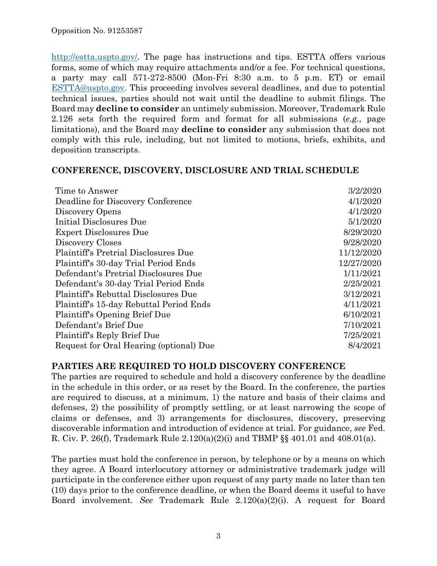http://estta.uspto.gov/. The page has instructions and tips. ESTTA offers various forms, some of which may require attachments and/or a fee. For technical questions, a party may call 571-272-8500 (Mon-Fri 8:30 a.m. to 5 p.m. ET) or email ESTTA@uspto.gov. This proceeding involves several deadlines, and due to potential technical issues, parties should not wait until the deadline to submit filings. The Board may **decline to consider** an untimely submission. Moreover, Trademark Rule 2.126 sets forth the required form and format for all submissions (*e.g.*, page limitations), and the Board may **decline to consider** any submission that does not comply with this rule, including, but not limited to motions, briefs, exhibits, and deposition transcripts.

#### **CONFERENCE, DISCOVERY, DISCLOSURE AND TRIAL SCHEDULE**

| Time to Answer                              | 3/2/2020   |
|---------------------------------------------|------------|
| Deadline for Discovery Conference           | 4/1/2020   |
| Discovery Opens                             | 4/1/2020   |
| Initial Disclosures Due                     | 5/1/2020   |
| <b>Expert Disclosures Due</b>               | 8/29/2020  |
| Discovery Closes                            | 9/28/2020  |
| <b>Plaintiff's Pretrial Disclosures Due</b> | 11/12/2020 |
| Plaintiff's 30-day Trial Period Ends        | 12/27/2020 |
| Defendant's Pretrial Disclosures Due        | 1/11/2021  |
| Defendant's 30-day Trial Period Ends        | 2/25/2021  |
| Plaintiff's Rebuttal Disclosures Due        | 3/12/2021  |
| Plaintiff's 15-day Rebuttal Period Ends     | 4/11/2021  |
| Plaintiff's Opening Brief Due               | 6/10/2021  |
| Defendant's Brief Due                       | 7/10/2021  |
| Plaintiff's Reply Brief Due                 | 7/25/2021  |
| Request for Oral Hearing (optional) Due     | 8/4/2021   |

## **PARTIES ARE REQUIRED TO HOLD DISCOVERY CONFERENCE**

The parties are required to schedule and hold a discovery conference by the deadline in the schedule in this order, or as reset by the Board. In the conference, the parties are required to discuss, at a minimum, 1) the nature and basis of their claims and defenses, 2) the possibility of promptly settling, or at least narrowing the scope of claims or defenses, and 3) arrangements for disclosures, discovery, preserving discoverable information and introduction of evidence at trial. For guidance, *see* Fed. R. Civ. P. 26(f), Trademark Rule 2.120(a)(2)(i) and TBMP §§ 401.01 and 408.01(a).

The parties must hold the conference in person, by telephone or by a means on which they agree. A Board interlocutory attorney or administrative trademark judge will participate in the conference either upon request of any party made no later than ten (10) days prior to the conference deadline, or when the Board deems it useful to have Board involvement. *See* Trademark Rule 2.120(a)(2)(i). A request for Board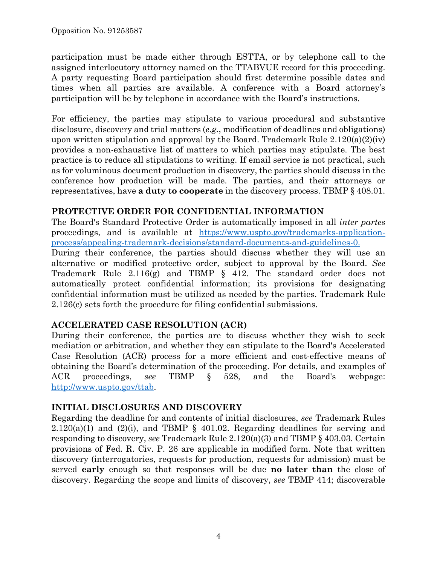participation must be made either through ESTTA, or by telephone call to the assigned interlocutory attorney named on the TTABVUE record for this proceeding. A party requesting Board participation should first determine possible dates and times when all parties are available. A conference with a Board attorney's participation will be by telephone in accordance with the Board's instructions.

For efficiency, the parties may stipulate to various procedural and substantive disclosure, discovery and trial matters (*e.g.*, modification of deadlines and obligations) upon written stipulation and approval by the Board. Trademark Rule  $2.120(a)(2)(iv)$ provides a non-exhaustive list of matters to which parties may stipulate. The best practice is to reduce all stipulations to writing. If email service is not practical, such as for voluminous document production in discovery, the parties should discuss in the conference how production will be made. The parties, and their attorneys or representatives, have **a duty to cooperate** in the discovery process. TBMP § 408.01.

# **PROTECTIVE ORDER FOR CONFIDENTIAL INFORMATION**

The Board's Standard Protective Order is automatically imposed in all *inter partes* proceedings, and is available at https://www.uspto.gov/trademarks-applicationprocess/appealing-trademark-decisions/standard-documents-and-guidelines-0.

During their conference, the parties should discuss whether they will use an alternative or modified protective order, subject to approval by the Board. *See* Trademark Rule 2.116(g) and TBMP § 412. The standard order does not automatically protect confidential information; its provisions for designating confidential information must be utilized as needed by the parties. Trademark Rule 2.126(c) sets forth the procedure for filing confidential submissions.

# **ACCELERATED CASE RESOLUTION (ACR)**

During their conference, the parties are to discuss whether they wish to seek mediation or arbitration, and whether they can stipulate to the Board's Accelerated Case Resolution (ACR) process for a more efficient and cost-effective means of obtaining the Board's determination of the proceeding. For details, and examples of ACR proceedings, *see* TBMP § 528, and the Board's webpage: http://www.uspto.gov/ttab.

# **INITIAL DISCLOSURES AND DISCOVERY**

Regarding the deadline for and contents of initial disclosures, *see* Trademark Rules  $2.120(a)(1)$  and  $(2)(i)$ , and TBMP § 401.02. Regarding deadlines for serving and responding to discovery, *see* Trademark Rule 2.120(a)(3) and TBMP § 403.03. Certain provisions of Fed. R. Civ. P. 26 are applicable in modified form. Note that written discovery (interrogatories, requests for production, requests for admission) must be served **early** enough so that responses will be due **no later than** the close of discovery. Regarding the scope and limits of discovery, *see* TBMP 414; discoverable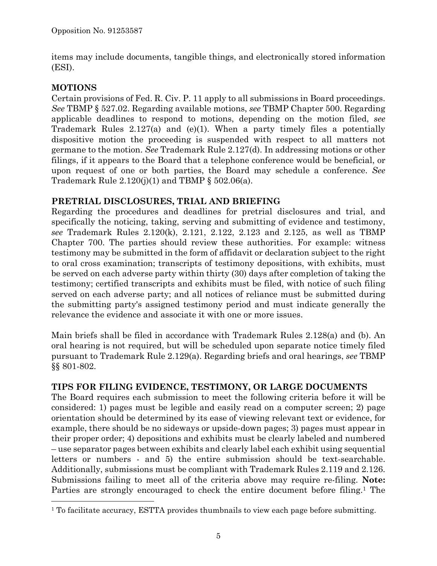items may include documents, tangible things, and electronically stored information (ESI).

# **MOTIONS**

1

Certain provisions of Fed. R. Civ. P. 11 apply to all submissions in Board proceedings. *See* TBMP § 527.02. Regarding available motions, *see* TBMP Chapter 500. Regarding applicable deadlines to respond to motions, depending on the motion filed, *see* Trademark Rules 2.127(a) and (e)(1). When a party timely files a potentially dispositive motion the proceeding is suspended with respect to all matters not germane to the motion. *See* Trademark Rule 2.127(d). In addressing motions or other filings, if it appears to the Board that a telephone conference would be beneficial, or upon request of one or both parties, the Board may schedule a conference. *See* Trademark Rule  $2.120(j)(1)$  and TBMP § 502.06(a).

# **PRETRIAL DISCLOSURES, TRIAL AND BRIEFING**

Regarding the procedures and deadlines for pretrial disclosures and trial, and specifically the noticing, taking, serving and submitting of evidence and testimony, *see* Trademark Rules 2.120(k), 2.121, 2.122, 2.123 and 2.125, as well as TBMP Chapter 700. The parties should review these authorities. For example: witness testimony may be submitted in the form of affidavit or declaration subject to the right to oral cross examination; transcripts of testimony depositions, with exhibits, must be served on each adverse party within thirty (30) days after completion of taking the testimony; certified transcripts and exhibits must be filed, with notice of such filing served on each adverse party; and all notices of reliance must be submitted during the submitting party's assigned testimony period and must indicate generally the relevance the evidence and associate it with one or more issues.

Main briefs shall be filed in accordance with Trademark Rules 2.128(a) and (b). An oral hearing is not required, but will be scheduled upon separate notice timely filed pursuant to Trademark Rule 2.129(a). Regarding briefs and oral hearings, *see* TBMP §§ 801-802.

## **TIPS FOR FILING EVIDENCE, TESTIMONY, OR LARGE DOCUMENTS**

The Board requires each submission to meet the following criteria before it will be considered: 1) pages must be legible and easily read on a computer screen; 2) page orientation should be determined by its ease of viewing relevant text or evidence, for example, there should be no sideways or upside-down pages; 3) pages must appear in their proper order; 4) depositions and exhibits must be clearly labeled and numbered – use separator pages between exhibits and clearly label each exhibit using sequential letters or numbers - and 5) the entire submission should be text-searchable. Additionally, submissions must be compliant with Trademark Rules 2.119 and 2.126. Submissions failing to meet all of the criteria above may require re-filing. **Note:** Parties are strongly encouraged to check the entire document before filing.<sup>1</sup> The

<sup>&</sup>lt;sup>1</sup> To facilitate accuracy, ESTTA provides thumbnails to view each page before submitting.